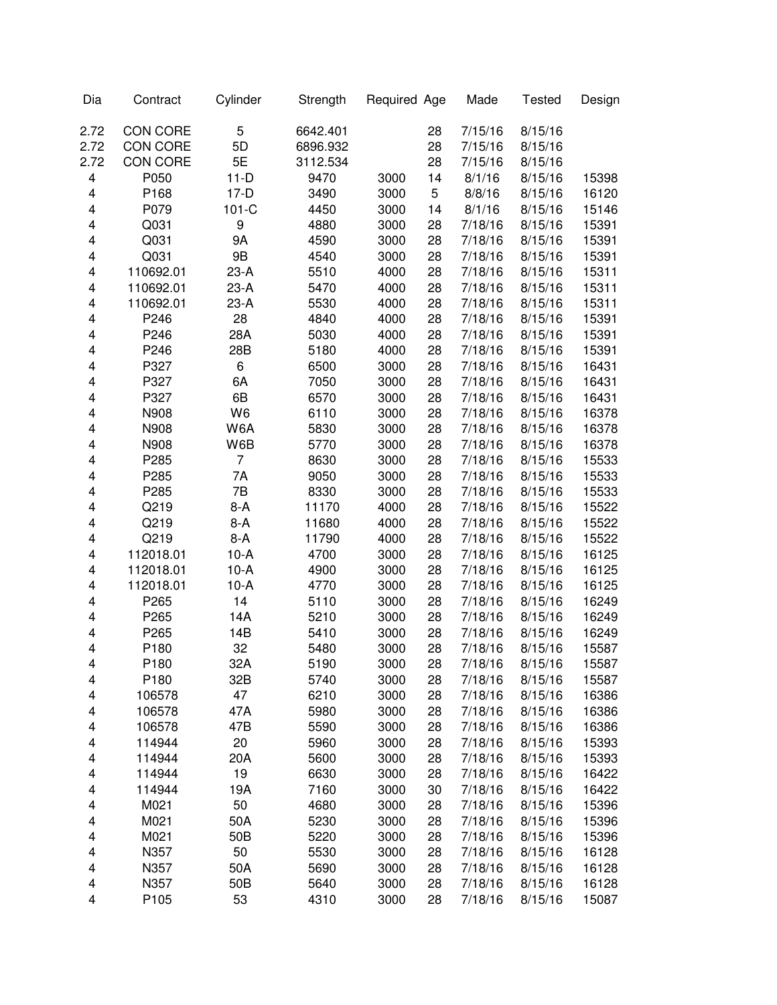| Dia    | Contract         | Cylinder        | Strength | Required Age |    | Made               | <b>Tested</b>      | Design         |
|--------|------------------|-----------------|----------|--------------|----|--------------------|--------------------|----------------|
| 2.72   | CON CORE         | 5               | 6642.401 |              | 28 | 7/15/16            | 8/15/16            |                |
| 2.72   | CON CORE         | 5D              | 6896.932 |              | 28 | 7/15/16            | 8/15/16            |                |
| 2.72   | CON CORE         | 5E              | 3112.534 |              | 28 | 7/15/16            | 8/15/16            |                |
| 4      | P050             | $11-D$          | 9470     | 3000         | 14 | 8/1/16             | 8/15/16            | 15398          |
| 4      | P168             | $17-D$          | 3490     | 3000         | 5  | 8/8/16             | 8/15/16            | 16120          |
| 4      | P079             | $101-C$         | 4450     | 3000         | 14 | 8/1/16             | 8/15/16            | 15146          |
| 4      | Q031             | 9               | 4880     | 3000         | 28 | 7/18/16            | 8/15/16            | 15391          |
| 4      | Q031             | 9A              | 4590     | 3000         | 28 | 7/18/16            | 8/15/16            | 15391          |
| 4      | Q031             | 9B              | 4540     | 3000         | 28 | 7/18/16            | 8/15/16            | 15391          |
| 4      | 110692.01        | $23-A$          | 5510     | 4000         | 28 | 7/18/16            | 8/15/16            | 15311          |
| 4      | 110692.01        | $23-A$          | 5470     | 4000         | 28 | 7/18/16            | 8/15/16            | 15311          |
| 4      | 110692.01        | $23-A$          | 5530     | 4000         | 28 | 7/18/16            | 8/15/16            | 15311          |
| 4      | P246             | 28              | 4840     | 4000         | 28 | 7/18/16            | 8/15/16            | 15391          |
| 4      | P246             | 28A             | 5030     | 4000         | 28 | 7/18/16            | 8/15/16            | 15391          |
| 4      | P246             | 28B             | 5180     | 4000         | 28 | 7/18/16            | 8/15/16            | 15391          |
| 4      | P327             | 6               | 6500     | 3000         | 28 | 7/18/16            | 8/15/16            | 16431          |
| 4      | P327             | 6A              | 7050     | 3000         | 28 | 7/18/16            | 8/15/16            | 16431          |
| 4      | P327             | 6B              | 6570     | 3000         | 28 | 7/18/16            | 8/15/16            | 16431          |
| 4      | N908             | W <sub>6</sub>  | 6110     | 3000         | 28 | 7/18/16            | 8/15/16            | 16378          |
| 4      | N908             | W6A             | 5830     | 3000         | 28 | 7/18/16            | 8/15/16            | 16378          |
| 4      | N908             | W6B             | 5770     | 3000         | 28 | 7/18/16            | 8/15/16            | 16378          |
| 4      | P285             | 7               | 8630     | 3000         | 28 | 7/18/16            | 8/15/16            | 15533          |
| 4      | P285             | 7A              | 9050     | 3000         | 28 | 7/18/16            | 8/15/16            | 15533          |
| 4      | P285             | 7B              | 8330     | 3000         | 28 | 7/18/16            | 8/15/16            | 15533          |
| 4      | Q219             | $8-A$           | 11170    | 4000         | 28 | 7/18/16            | 8/15/16            | 15522          |
| 4      | Q219             | 8-A             | 11680    | 4000         | 28 | 7/18/16            | 8/15/16            | 15522          |
| 4      | Q219             | $8-A$           | 11790    | 4000         | 28 | 7/18/16            | 8/15/16            | 15522          |
| 4      | 112018.01        | $10-A$          | 4700     | 3000         | 28 | 7/18/16            | 8/15/16            | 16125          |
| 4      | 112018.01        | $10-A$          | 4900     | 3000         | 28 | 7/18/16            | 8/15/16            | 16125          |
| 4      | 112018.01        | $10-A$          | 4770     | 3000         | 28 | 7/18/16            | 8/15/16            | 16125          |
| 4      | P265             | 14              | 5110     | 3000         | 28 | 7/18/16            | 8/15/16            | 16249          |
| 4      | P265             | 14A             | 5210     | 3000         | 28 | 7/18/16            | 8/15/16            | 16249          |
| 4      | P265             | 14B             | 5410     | 3000         | 28 | 7/18/16            | 8/15/16            | 16249          |
| 4      | P180             | 32              | 5480     | 3000         | 28 | 7/18/16            | 8/15/16            | 15587          |
|        | P180             | 32A             | 5190     | 3000         | 28 | 7/18/16            | 8/15/16            | 15587          |
| 4<br>4 | P180             | 32B             | 5740     | 3000         | 28 | 7/18/16            | 8/15/16            | 15587          |
| 4      | 106578           | 47              | 6210     | 3000         | 28 | 7/18/16            | 8/15/16            | 16386          |
| 4      | 106578           | 47A             | 5980     | 3000         | 28 | 7/18/16            | 8/15/16            | 16386          |
|        |                  | 47B             |          |              | 28 |                    |                    |                |
| 4      | 106578<br>114944 |                 | 5590     | 3000         |    | 7/18/16<br>7/18/16 | 8/15/16<br>8/15/16 | 16386<br>15393 |
| 4      |                  | 20              | 5960     | 3000         | 28 | 7/18/16            |                    |                |
| 4      | 114944           | 20A             | 5600     | 3000         | 28 |                    | 8/15/16            | 15393          |
| 4      | 114944           | 19              | 6630     | 3000         | 28 | 7/18/16            | 8/15/16            | 16422          |
| 4      | 114944           | 19A             | 7160     | 3000         | 30 | 7/18/16            | 8/15/16            | 16422          |
| 4      | M021             | 50              | 4680     | 3000         | 28 | 7/18/16            | 8/15/16            | 15396          |
| 4      | M021             | 50A             | 5230     | 3000         | 28 | 7/18/16            | 8/15/16            | 15396          |
| 4      | M021             | 50 <sub>B</sub> | 5220     | 3000         | 28 | 7/18/16            | 8/15/16            | 15396          |
| 4      | N357             | 50              | 5530     | 3000         | 28 | 7/18/16            | 8/15/16            | 16128          |
| 4      | N357             | 50A             | 5690     | 3000         | 28 | 7/18/16            | 8/15/16            | 16128          |
| 4      | N357             | 50 <sub>B</sub> | 5640     | 3000         | 28 | 7/18/16            | 8/15/16            | 16128          |
| 4      | P105             | 53              | 4310     | 3000         | 28 | 7/18/16            | 8/15/16            | 15087          |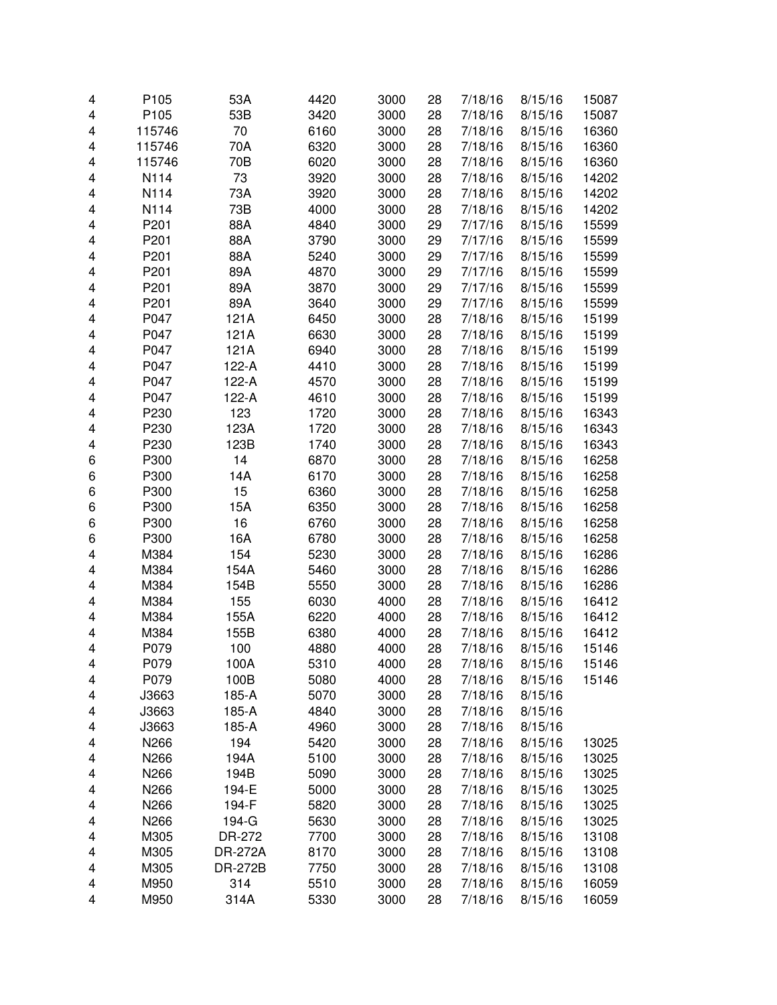| 4      | P <sub>105</sub> | 53A            | 4420         | 3000         | 28       | 7/18/16            | 8/15/16            | 15087          |
|--------|------------------|----------------|--------------|--------------|----------|--------------------|--------------------|----------------|
| 4      | P105             | 53B            | 3420         | 3000         | 28       | 7/18/16            | 8/15/16            | 15087          |
| 4      | 115746           | 70             | 6160         | 3000         | 28       | 7/18/16            | 8/15/16            | 16360          |
| 4      | 115746           | 70A            | 6320         | 3000         | 28       | 7/18/16            | 8/15/16            | 16360          |
| 4      | 115746           | 70B            | 6020         | 3000         | 28       | 7/18/16            | 8/15/16            | 16360          |
| 4      | N114             | 73             | 3920         | 3000         | 28       | 7/18/16            | 8/15/16            | 14202          |
| 4      | N114             | 73A            | 3920         | 3000         | 28       | 7/18/16            | 8/15/16            | 14202          |
| 4      | N114             | 73B            | 4000         | 3000         | 28       | 7/18/16            | 8/15/16            | 14202          |
| 4      | P201             | 88A            | 4840         | 3000         | 29       | 7/17/16            | 8/15/16            | 15599          |
| 4      | P201             | 88A            | 3790         | 3000         | 29       | 7/17/16            | 8/15/16            | 15599          |
| 4      | P201             | 88A            | 5240         | 3000         | 29       | 7/17/16            | 8/15/16            | 15599          |
| 4      | P201             | 89A            | 4870         | 3000         | 29       | 7/17/16            | 8/15/16            | 15599          |
| 4      | P201             | 89A            | 3870         | 3000         | 29       | 7/17/16            | 8/15/16            | 15599          |
| 4      | P201             | 89A            | 3640         | 3000         | 29       | 7/17/16            | 8/15/16            | 15599          |
| 4      | P047             | 121A           | 6450         | 3000         | 28       | 7/18/16            | 8/15/16            | 15199          |
| 4      | P047             | 121A           | 6630         | 3000         | 28       | 7/18/16            | 8/15/16            | 15199          |
| 4      | P047             | 121A           | 6940         | 3000         | 28       | 7/18/16            | 8/15/16            | 15199          |
| 4      | P047             | 122-A          | 4410         | 3000         | 28       | 7/18/16            | 8/15/16            | 15199          |
| 4      | P047             | 122-A          | 4570         | 3000         | 28       | 7/18/16            | 8/15/16            | 15199          |
| 4      | P047             | 122-A          | 4610         | 3000         | 28       | 7/18/16            | 8/15/16            | 15199          |
| 4      | P230             | 123            | 1720         | 3000         | 28       | 7/18/16            | 8/15/16            | 16343          |
| 4      | P230             | 123A           | 1720         | 3000         | 28       | 7/18/16            | 8/15/16            | 16343          |
| 4      | P230             | 123B           | 1740         | 3000         | 28       | 7/18/16            | 8/15/16            | 16343          |
| 6      | P300             | 14             | 6870         | 3000         | 28       | 7/18/16            | 8/15/16            | 16258          |
| 6      | P300             | 14A            | 6170         | 3000         | 28       | 7/18/16            | 8/15/16            | 16258          |
| 6      | P300             | 15             | 6360         | 3000         | 28       | 7/18/16            | 8/15/16            | 16258          |
| 6      | P300             | 15A            | 6350         | 3000         | 28       | 7/18/16            | 8/15/16            | 16258          |
| 6      | P300             | 16             | 6760         | 3000         | 28       | 7/18/16            | 8/15/16            | 16258          |
| 6      | P300             | 16A            | 6780         | 3000         | 28       | 7/18/16            | 8/15/16            | 16258          |
| 4      | M384             | 154            | 5230         | 3000         | 28       | 7/18/16            | 8/15/16            | 16286          |
| 4      | M384             | 154A           | 5460         | 3000         | 28       | 7/18/16            | 8/15/16            | 16286          |
| 4      | M384             | 154B           | 5550         | 3000         | 28       | 7/18/16            | 8/15/16            | 16286          |
| 4      | M384             | 155            | 6030         | 4000         | 28       | 7/18/16            | 8/15/16            | 16412          |
| 4      | M384             | 155A           | 6220         | 4000         | 28       | 7/18/16            | 8/15/16            | 16412          |
| 4      | M384             | 155B           | 6380         | 4000         | 28       | 7/18/16            | 8/15/16            | 16412          |
| 4      | P079             | 100            | 4880         | 4000         | 28       | 7/18/16            | 8/15/16            | 15146          |
|        |                  |                |              |              |          |                    |                    |                |
| 4<br>4 | P079<br>P079     | 100A<br>100B   | 5310<br>5080 | 4000<br>4000 | 28<br>28 | 7/18/16<br>7/18/16 | 8/15/16<br>8/15/16 | 15146<br>15146 |
|        |                  |                | 5070         |              |          |                    | 8/15/16            |                |
| 4      | J3663            | 185-A          |              | 3000         | 28       | 7/18/16            |                    |                |
| 4      | J3663            | 185-A          | 4840<br>4960 | 3000         | 28       | 7/18/16<br>7/18/16 | 8/15/16            |                |
| 4      | J3663            | 185-A          |              | 3000         | 28       |                    | 8/15/16            |                |
| 4      | N266             | 194            | 5420         | 3000         | 28       | 7/18/16            | 8/15/16            | 13025          |
| 4      | N266             | 194A           | 5100         | 3000         | 28       | 7/18/16            | 8/15/16            | 13025          |
| 4      | N266             | 194B           | 5090         | 3000         | 28       | 7/18/16            | 8/15/16            | 13025          |
| 4      | N266             | 194-E          | 5000         | 3000         | 28       | 7/18/16            | 8/15/16            | 13025          |
| 4      | N266             | 194-F          | 5820         | 3000         | 28       | 7/18/16            | 8/15/16            | 13025          |
| 4      | N266             | 194-G          | 5630         | 3000         | 28       | 7/18/16            | 8/15/16            | 13025          |
| 4      | M305             | DR-272         | 7700         | 3000         | 28       | 7/18/16            | 8/15/16            | 13108          |
| 4      | M305             | <b>DR-272A</b> | 8170         | 3000         | 28       | 7/18/16            | 8/15/16            | 13108          |
| 4      | M305             | <b>DR-272B</b> | 7750         | 3000         | 28       | 7/18/16            | 8/15/16            | 13108          |
| 4      | M950             | 314            | 5510         | 3000         | 28       | 7/18/16            | 8/15/16            | 16059          |
| 4      | M950             | 314A           | 5330         | 3000         | 28       | 7/18/16            | 8/15/16            | 16059          |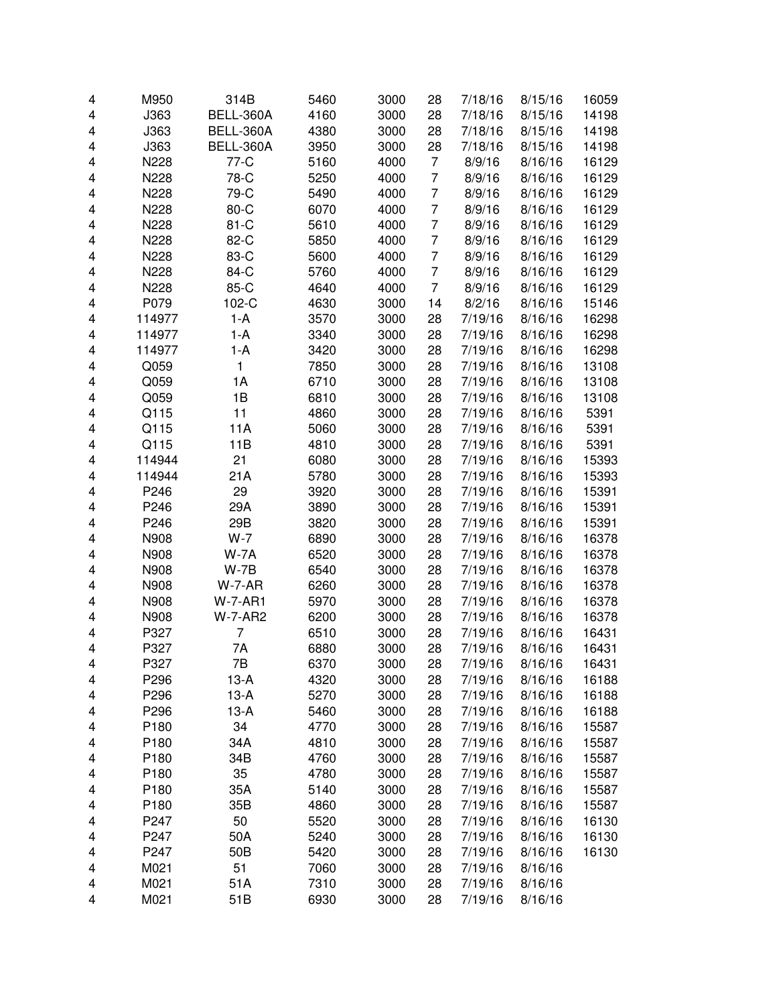| 4 | M950   | 314B           | 5460 | 3000 | 28             | 7/18/16 | 8/15/16 | 16059 |
|---|--------|----------------|------|------|----------------|---------|---------|-------|
| 4 | J363   | BELL-360A      | 4160 | 3000 | 28             | 7/18/16 | 8/15/16 | 14198 |
|   |        | BELL-360A      |      |      |                | 7/18/16 |         |       |
| 4 | J363   |                | 4380 | 3000 | 28             |         | 8/15/16 | 14198 |
| 4 | J363   | BELL-360A      | 3950 | 3000 | 28             | 7/18/16 | 8/15/16 | 14198 |
| 4 | N228   | 77-C           | 5160 | 4000 | 7              | 8/9/16  | 8/16/16 | 16129 |
| 4 | N228   | 78-C           | 5250 | 4000 | 7              | 8/9/16  | 8/16/16 | 16129 |
| 4 | N228   | 79-C           | 5490 | 4000 | $\overline{7}$ | 8/9/16  | 8/16/16 | 16129 |
| 4 | N228   | 80-C           | 6070 | 4000 | $\overline{7}$ | 8/9/16  | 8/16/16 | 16129 |
| 4 | N228   | $81-C$         | 5610 | 4000 | $\overline{7}$ | 8/9/16  | 8/16/16 | 16129 |
| 4 | N228   | 82-C           | 5850 | 4000 | $\overline{7}$ | 8/9/16  | 8/16/16 | 16129 |
| 4 | N228   | 83-C           | 5600 | 4000 | $\overline{7}$ | 8/9/16  | 8/16/16 | 16129 |
| 4 | N228   | 84-C           | 5760 | 4000 | $\overline{7}$ | 8/9/16  | 8/16/16 | 16129 |
| 4 | N228   | 85-C           | 4640 | 4000 | $\overline{7}$ | 8/9/16  | 8/16/16 | 16129 |
| 4 | P079   | 102-C          | 4630 | 3000 | 14             | 8/2/16  | 8/16/16 | 15146 |
| 4 | 114977 | $1-A$          | 3570 | 3000 | 28             | 7/19/16 | 8/16/16 | 16298 |
| 4 | 114977 | $1-A$          | 3340 | 3000 | 28             | 7/19/16 | 8/16/16 | 16298 |
| 4 | 114977 | $1-A$          | 3420 | 3000 | 28             | 7/19/16 | 8/16/16 | 16298 |
| 4 | Q059   | 1              | 7850 | 3000 | 28             | 7/19/16 | 8/16/16 | 13108 |
| 4 | Q059   | 1A             | 6710 | 3000 | 28             | 7/19/16 | 8/16/16 | 13108 |
| 4 | Q059   | 1B             | 6810 | 3000 | 28             | 7/19/16 | 8/16/16 | 13108 |
| 4 | Q115   | 11             | 4860 | 3000 | 28             | 7/19/16 | 8/16/16 | 5391  |
|   | Q115   |                |      |      |                |         |         | 5391  |
| 4 |        | 11A            | 5060 | 3000 | 28             | 7/19/16 | 8/16/16 |       |
| 4 | Q115   | 11B            | 4810 | 3000 | 28             | 7/19/16 | 8/16/16 | 5391  |
| 4 | 114944 | 21             | 6080 | 3000 | 28             | 7/19/16 | 8/16/16 | 15393 |
| 4 | 114944 | 21A            | 5780 | 3000 | 28             | 7/19/16 | 8/16/16 | 15393 |
| 4 | P246   | 29             | 3920 | 3000 | 28             | 7/19/16 | 8/16/16 | 15391 |
| 4 | P246   | 29A            | 3890 | 3000 | 28             | 7/19/16 | 8/16/16 | 15391 |
| 4 | P246   | 29B            | 3820 | 3000 | 28             | 7/19/16 | 8/16/16 | 15391 |
| 4 | N908   | $W-7$          | 6890 | 3000 | 28             | 7/19/16 | 8/16/16 | 16378 |
| 4 | N908   | $W-7A$         | 6520 | 3000 | 28             | 7/19/16 | 8/16/16 | 16378 |
| 4 | N908   | $W-7B$         | 6540 | 3000 | 28             | 7/19/16 | 8/16/16 | 16378 |
| 4 | N908   | $W-7-AR$       | 6260 | 3000 | 28             | 7/19/16 | 8/16/16 | 16378 |
| 4 | N908   | <b>W-7-AR1</b> | 5970 | 3000 | 28             | 7/19/16 | 8/16/16 | 16378 |
| 4 | N908   | <b>W-7-AR2</b> | 6200 | 3000 | 28             | 7/19/16 | 8/16/16 | 16378 |
| 4 | P327   | 7              | 6510 | 3000 | 28             | 7/19/16 | 8/16/16 | 16431 |
| 4 | P327   | 7A             | 6880 | 3000 | 28             | 7/19/16 | 8/16/16 | 16431 |
| 4 | P327   | 7В             | 6370 | 3000 | 28             | 7/19/16 | 8/16/16 | 16431 |
| 4 | P296   | $13-A$         | 4320 | 3000 | 28             | 7/19/16 | 8/16/16 | 16188 |
| 4 | P296   | $13-A$         | 5270 | 3000 | 28             | 7/19/16 | 8/16/16 | 16188 |
| 4 | P296   | $13-A$         | 5460 | 3000 | 28             | 7/19/16 | 8/16/16 | 16188 |
| 4 | P180   | 34             | 4770 | 3000 | 28             | 7/19/16 | 8/16/16 | 15587 |
| 4 | P180   | 34A            | 4810 | 3000 | 28             | 7/19/16 | 8/16/16 | 15587 |
| 4 | P180   | 34B            | 4760 | 3000 | 28             | 7/19/16 | 8/16/16 | 15587 |
| 4 | P180   | 35             | 4780 | 3000 | 28             | 7/19/16 | 8/16/16 | 15587 |
| 4 | P180   | 35A            | 5140 | 3000 | 28             | 7/19/16 | 8/16/16 | 15587 |
| 4 | P180   | 35B            | 4860 | 3000 | 28             | 7/19/16 | 8/16/16 | 15587 |
| 4 | P247   | 50             | 5520 | 3000 | 28             | 7/19/16 | 8/16/16 | 16130 |
|   | P247   |                |      |      |                |         |         |       |
| 4 |        | 50A            | 5240 | 3000 | 28             | 7/19/16 | 8/16/16 | 16130 |
| 4 | P247   | 50B            | 5420 | 3000 | 28             | 7/19/16 | 8/16/16 | 16130 |
| 4 | M021   | 51             | 7060 | 3000 | 28             | 7/19/16 | 8/16/16 |       |
| 4 | M021   | 51A            | 7310 | 3000 | 28             | 7/19/16 | 8/16/16 |       |
| 4 | M021   | 51B            | 6930 | 3000 | 28             | 7/19/16 | 8/16/16 |       |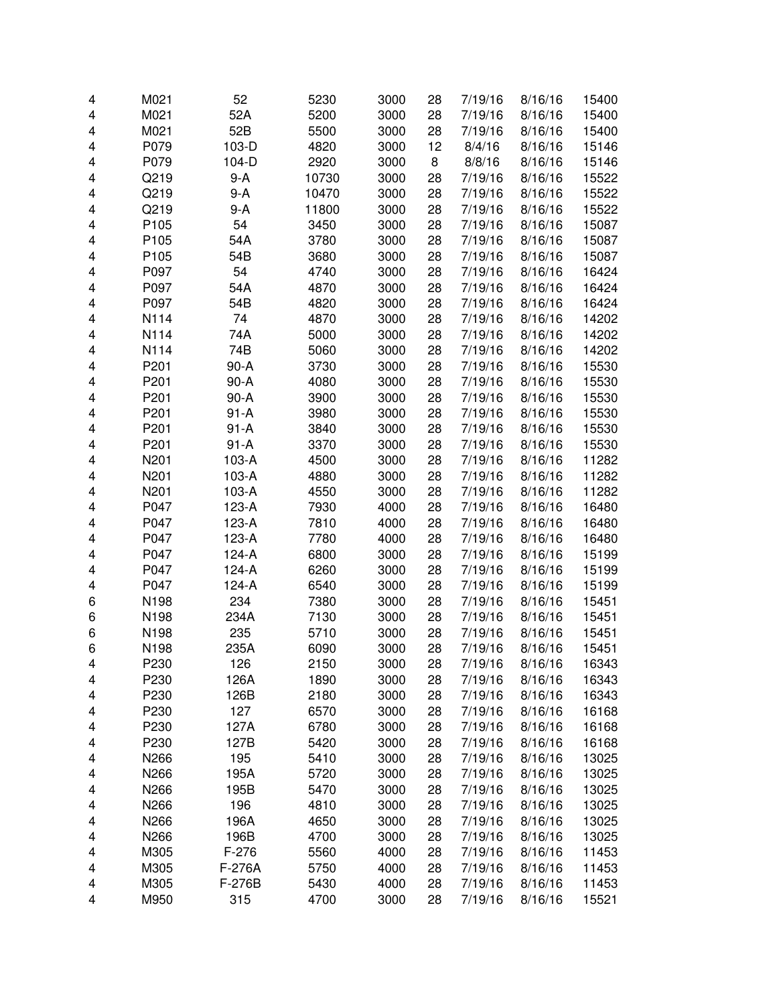| 4 | M021             | 52       | 5230  | 3000 | 28 | 7/19/16 | 8/16/16 | 15400 |
|---|------------------|----------|-------|------|----|---------|---------|-------|
| 4 | M021             | 52A      | 5200  | 3000 | 28 | 7/19/16 | 8/16/16 | 15400 |
| 4 | M021             | 52B      | 5500  | 3000 | 28 | 7/19/16 | 8/16/16 | 15400 |
| 4 | P079             | 103-D    | 4820  | 3000 | 12 | 8/4/16  | 8/16/16 | 15146 |
| 4 | P079             | 104-D    | 2920  | 3000 | 8  | 8/8/16  | 8/16/16 | 15146 |
| 4 | Q219             | $9-A$    | 10730 | 3000 | 28 | 7/19/16 | 8/16/16 | 15522 |
| 4 | Q219             | $9-A$    | 10470 | 3000 | 28 | 7/19/16 | 8/16/16 | 15522 |
| 4 | Q219             | $9-A$    | 11800 | 3000 | 28 | 7/19/16 | 8/16/16 | 15522 |
| 4 | P <sub>105</sub> | 54       | 3450  | 3000 | 28 | 7/19/16 | 8/16/16 | 15087 |
| 4 | P <sub>105</sub> | 54A      | 3780  | 3000 | 28 | 7/19/16 | 8/16/16 | 15087 |
| 4 | P <sub>105</sub> | 54B      | 3680  | 3000 | 28 | 7/19/16 | 8/16/16 | 15087 |
| 4 | P097             | 54       | 4740  | 3000 | 28 | 7/19/16 | 8/16/16 | 16424 |
| 4 | P097             | 54A      | 4870  | 3000 | 28 | 7/19/16 | 8/16/16 | 16424 |
| 4 | P097             | 54B      | 4820  | 3000 | 28 | 7/19/16 | 8/16/16 | 16424 |
| 4 | N114             | 74       | 4870  | 3000 | 28 | 7/19/16 | 8/16/16 | 14202 |
| 4 | N114             | 74A      | 5000  | 3000 | 28 | 7/19/16 | 8/16/16 | 14202 |
| 4 | N114             | 74B      | 5060  | 3000 | 28 | 7/19/16 | 8/16/16 | 14202 |
| 4 | P201             | $90-A$   | 3730  | 3000 | 28 | 7/19/16 | 8/16/16 | 15530 |
| 4 | P201             | $90-A$   | 4080  | 3000 | 28 | 7/19/16 | 8/16/16 | 15530 |
| 4 | P201             | $90-A$   | 3900  | 3000 | 28 | 7/19/16 | 8/16/16 | 15530 |
| 4 | P201             | $91-A$   | 3980  | 3000 | 28 | 7/19/16 | 8/16/16 | 15530 |
| 4 | P201             | $91 - A$ | 3840  | 3000 | 28 | 7/19/16 | 8/16/16 | 15530 |
| 4 | P201             | $91-A$   | 3370  | 3000 | 28 | 7/19/16 | 8/16/16 | 15530 |
| 4 | N201             | 103-A    | 4500  | 3000 | 28 | 7/19/16 | 8/16/16 | 11282 |
| 4 | N201             | 103-A    | 4880  | 3000 | 28 | 7/19/16 | 8/16/16 | 11282 |
| 4 | N201             | 103-A    | 4550  | 3000 | 28 | 7/19/16 | 8/16/16 | 11282 |
| 4 | P047             | 123-A    | 7930  | 4000 | 28 | 7/19/16 | 8/16/16 | 16480 |
| 4 | P047             | 123-A    | 7810  | 4000 | 28 | 7/19/16 | 8/16/16 | 16480 |
| 4 | P047             | 123-A    | 7780  | 4000 | 28 | 7/19/16 | 8/16/16 | 16480 |
| 4 | P047             | 124-A    | 6800  | 3000 | 28 | 7/19/16 | 8/16/16 | 15199 |
| 4 | P047             | $124-A$  | 6260  | 3000 | 28 | 7/19/16 | 8/16/16 | 15199 |
| 4 | P047             | 124-A    | 6540  | 3000 | 28 | 7/19/16 | 8/16/16 | 15199 |
| 6 | N198             | 234      | 7380  | 3000 | 28 | 7/19/16 | 8/16/16 | 15451 |
| 6 | N198             | 234A     | 7130  | 3000 | 28 | 7/19/16 | 8/16/16 | 15451 |
| 6 | N198             | 235      | 5710  | 3000 | 28 | 7/19/16 | 8/16/16 | 15451 |
| 6 | N198             | 235A     | 6090  | 3000 | 28 | 7/19/16 | 8/16/16 | 15451 |
| 4 | P230             | 126      | 2150  | 3000 | 28 | 7/19/16 | 8/16/16 | 16343 |
| 4 | P230             | 126A     | 1890  | 3000 | 28 | 7/19/16 | 8/16/16 | 16343 |
| 4 | P230             | 126B     | 2180  | 3000 | 28 | 7/19/16 | 8/16/16 | 16343 |
| 4 | P230             | 127      | 6570  | 3000 | 28 | 7/19/16 | 8/16/16 | 16168 |
| 4 | P230             | 127A     | 6780  | 3000 | 28 | 7/19/16 | 8/16/16 | 16168 |
| 4 | P230             | 127B     | 5420  | 3000 | 28 | 7/19/16 | 8/16/16 | 16168 |
| 4 | N266             | 195      | 5410  | 3000 | 28 | 7/19/16 | 8/16/16 | 13025 |
| 4 | N266             | 195A     | 5720  | 3000 | 28 | 7/19/16 | 8/16/16 | 13025 |
| 4 | N266             | 195B     | 5470  | 3000 | 28 | 7/19/16 | 8/16/16 | 13025 |
| 4 | N266             | 196      | 4810  | 3000 | 28 | 7/19/16 | 8/16/16 | 13025 |
| 4 | N266             | 196A     | 4650  | 3000 | 28 | 7/19/16 | 8/16/16 | 13025 |
| 4 | N266             | 196B     | 4700  | 3000 | 28 | 7/19/16 | 8/16/16 | 13025 |
| 4 | M305             | $F-276$  | 5560  | 4000 | 28 | 7/19/16 | 8/16/16 | 11453 |
| 4 | M305             | F-276A   | 5750  | 4000 | 28 | 7/19/16 | 8/16/16 | 11453 |
| 4 | M305             | F-276B   | 5430  | 4000 | 28 | 7/19/16 | 8/16/16 | 11453 |
| 4 | M950             | 315      | 4700  | 3000 | 28 | 7/19/16 | 8/16/16 | 15521 |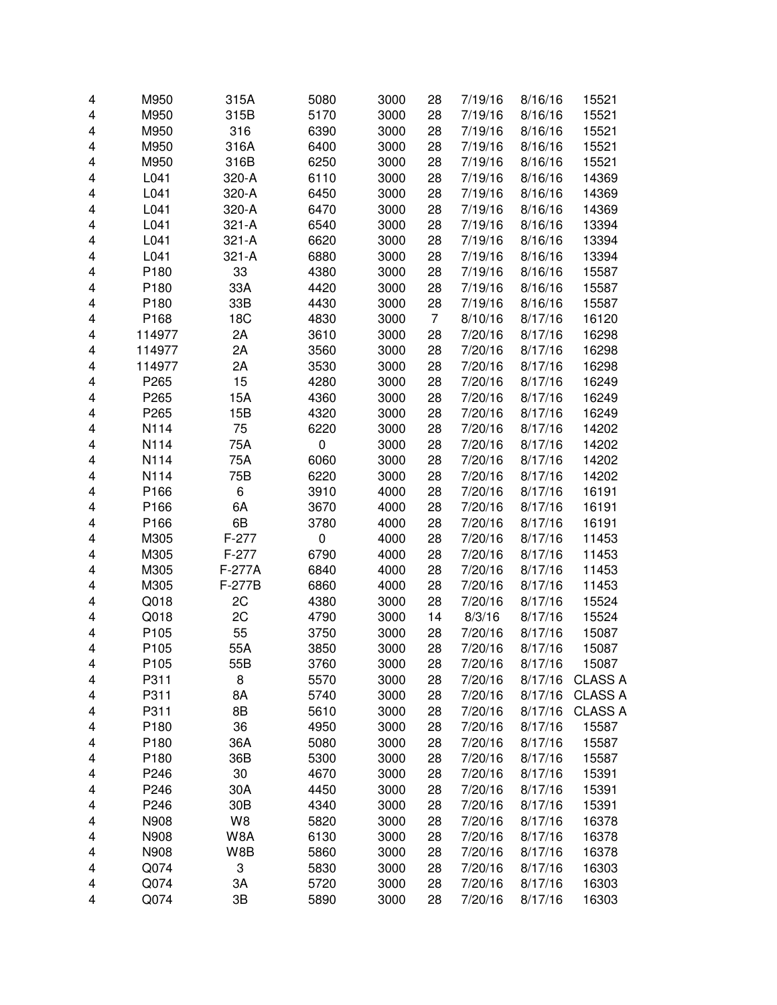| 4 | M950             | 315A            | 5080      | 3000 | 28 | 7/19/16 | 8/16/16 | 15521          |
|---|------------------|-----------------|-----------|------|----|---------|---------|----------------|
| 4 | M950             | 315B            | 5170      | 3000 | 28 | 7/19/16 | 8/16/16 | 15521          |
| 4 | M950             | 316             | 6390      | 3000 | 28 | 7/19/16 | 8/16/16 | 15521          |
| 4 | M950             | 316A            | 6400      | 3000 | 28 | 7/19/16 | 8/16/16 | 15521          |
| 4 | M950             | 316B            | 6250      | 3000 | 28 | 7/19/16 | 8/16/16 | 15521          |
| 4 | L041             | 320-A           | 6110      | 3000 | 28 | 7/19/16 | 8/16/16 | 14369          |
| 4 | L041             | 320-A           | 6450      | 3000 | 28 | 7/19/16 | 8/16/16 | 14369          |
| 4 | L041             | 320-A           | 6470      | 3000 | 28 | 7/19/16 | 8/16/16 | 14369          |
| 4 | L041             | $321 - A$       | 6540      | 3000 | 28 | 7/19/16 | 8/16/16 | 13394          |
| 4 | L041             | $321 - A$       | 6620      | 3000 | 28 | 7/19/16 | 8/16/16 | 13394          |
| 4 | L041             | 321-A           | 6880      | 3000 | 28 | 7/19/16 | 8/16/16 | 13394          |
| 4 | P180             | 33              | 4380      | 3000 | 28 | 7/19/16 | 8/16/16 | 15587          |
| 4 | P180             | 33A             | 4420      | 3000 | 28 | 7/19/16 | 8/16/16 | 15587          |
| 4 | P180             | 33B             | 4430      | 3000 | 28 | 7/19/16 | 8/16/16 | 15587          |
| 4 | P168             | 18C             | 4830      | 3000 | 7  | 8/10/16 | 8/17/16 | 16120          |
| 4 | 114977           | 2A              | 3610      | 3000 | 28 | 7/20/16 | 8/17/16 | 16298          |
| 4 | 114977           | 2A              | 3560      | 3000 | 28 | 7/20/16 | 8/17/16 | 16298          |
| 4 | 114977           | 2A              | 3530      | 3000 | 28 | 7/20/16 | 8/17/16 | 16298          |
| 4 | P265             | 15              | 4280      | 3000 | 28 | 7/20/16 | 8/17/16 | 16249          |
| 4 | P265             | 15A             | 4360      | 3000 | 28 | 7/20/16 | 8/17/16 | 16249          |
| 4 | P265             | 15B             | 4320      | 3000 | 28 | 7/20/16 | 8/17/16 | 16249          |
| 4 | N114             | 75              | 6220      | 3000 | 28 | 7/20/16 | 8/17/16 | 14202          |
| 4 | N114             | 75A             | 0         | 3000 | 28 | 7/20/16 | 8/17/16 | 14202          |
| 4 | N114             | 75A             | 6060      | 3000 | 28 | 7/20/16 | 8/17/16 | 14202          |
| 4 | N114             | 75B             | 6220      | 3000 | 28 | 7/20/16 | 8/17/16 | 14202          |
| 4 | P166             | 6               | 3910      | 4000 | 28 | 7/20/16 | 8/17/16 | 16191          |
|   | P166             | 6A              |           |      |    | 7/20/16 | 8/17/16 |                |
| 4 | P166             | 6B              | 3670      | 4000 | 28 |         | 8/17/16 | 16191          |
| 4 |                  | $F-277$         | 3780      | 4000 | 28 | 7/20/16 |         | 16191          |
| 4 | M305             |                 | $\pmb{0}$ | 4000 | 28 | 7/20/16 | 8/17/16 | 11453          |
| 4 | M305             | $F-277$         | 6790      | 4000 | 28 | 7/20/16 | 8/17/16 | 11453          |
| 4 | M305             | F-277A          | 6840      | 4000 | 28 | 7/20/16 | 8/17/16 | 11453          |
| 4 | M305             | F-277B          | 6860      | 4000 | 28 | 7/20/16 | 8/17/16 | 11453          |
| 4 | Q018             | 2C              | 4380      | 3000 | 28 | 7/20/16 | 8/17/16 | 15524          |
| 4 | Q018             | 2C              | 4790      | 3000 | 14 | 8/3/16  | 8/17/16 | 15524          |
| 4 | P105             | 55              | 3750      | 3000 | 28 | 7/20/16 | 8/17/16 | 15087          |
| 4 | P <sub>105</sub> | 55A             | 3850      | 3000 | 28 | 7/20/16 | 8/17/16 | 15087          |
| 4 | P <sub>105</sub> | 55B             | 3760      | 3000 | 28 | 7/20/16 | 8/17/16 | 15087          |
| 4 | P311             | 8               | 5570      | 3000 | 28 | 7/20/16 | 8/17/16 | <b>CLASS A</b> |
| 4 | P311             | 8A              | 5740      | 3000 | 28 | 7/20/16 | 8/17/16 | <b>CLASS A</b> |
| 4 | P311             | 8B              | 5610      | 3000 | 28 | 7/20/16 | 8/17/16 | <b>CLASS A</b> |
| 4 | P180             | 36              | 4950      | 3000 | 28 | 7/20/16 | 8/17/16 | 15587          |
| 4 | P180             | 36A             | 5080      | 3000 | 28 | 7/20/16 | 8/17/16 | 15587          |
| 4 | P180             | 36B             | 5300      | 3000 | 28 | 7/20/16 | 8/17/16 | 15587          |
| 4 | P246             | 30              | 4670      | 3000 | 28 | 7/20/16 | 8/17/16 | 15391          |
| 4 | P246             | 30A             | 4450      | 3000 | 28 | 7/20/16 | 8/17/16 | 15391          |
| 4 | P246             | 30 <sub>B</sub> | 4340      | 3000 | 28 | 7/20/16 | 8/17/16 | 15391          |
| 4 | N908             | W8              | 5820      | 3000 | 28 | 7/20/16 | 8/17/16 | 16378          |
| 4 | N908             | W8A             | 6130      | 3000 | 28 | 7/20/16 | 8/17/16 | 16378          |
| 4 | N908             | W8B             | 5860      | 3000 | 28 | 7/20/16 | 8/17/16 | 16378          |
| 4 | Q074             | 3               | 5830      | 3000 | 28 | 7/20/16 | 8/17/16 | 16303          |
| 4 | Q074             | 3A              | 5720      | 3000 | 28 | 7/20/16 | 8/17/16 | 16303          |
| 4 | Q074             | 3B              | 5890      | 3000 | 28 | 7/20/16 | 8/17/16 | 16303          |
|   |                  |                 |           |      |    |         |         |                |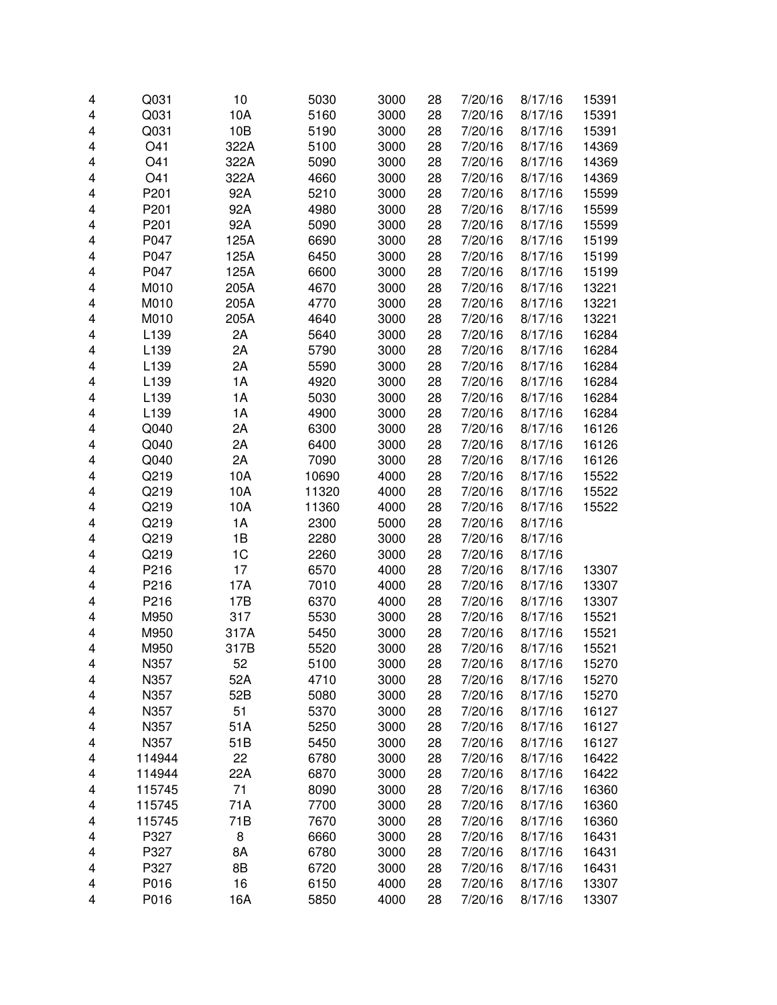| 4 | Q031   | 10   | 5030  | 3000 | 28 | 7/20/16 | 8/17/16 | 15391 |
|---|--------|------|-------|------|----|---------|---------|-------|
| 4 | Q031   | 10A  | 5160  | 3000 | 28 | 7/20/16 | 8/17/16 | 15391 |
| 4 | Q031   | 10B  | 5190  | 3000 | 28 | 7/20/16 | 8/17/16 | 15391 |
| 4 | O41    | 322A | 5100  | 3000 | 28 | 7/20/16 | 8/17/16 | 14369 |
| 4 | O41    | 322A | 5090  | 3000 | 28 | 7/20/16 | 8/17/16 | 14369 |
| 4 | O41    | 322A | 4660  | 3000 | 28 | 7/20/16 | 8/17/16 | 14369 |
| 4 | P201   | 92A  | 5210  | 3000 | 28 | 7/20/16 | 8/17/16 | 15599 |
| 4 | P201   | 92A  | 4980  | 3000 | 28 | 7/20/16 | 8/17/16 | 15599 |
| 4 | P201   | 92A  | 5090  | 3000 | 28 | 7/20/16 | 8/17/16 | 15599 |
| 4 | P047   | 125A | 6690  | 3000 | 28 | 7/20/16 | 8/17/16 | 15199 |
| 4 | P047   | 125A | 6450  | 3000 | 28 | 7/20/16 | 8/17/16 | 15199 |
| 4 | P047   | 125A | 6600  | 3000 | 28 | 7/20/16 | 8/17/16 | 15199 |
| 4 | M010   | 205A | 4670  | 3000 | 28 | 7/20/16 | 8/17/16 | 13221 |
| 4 | M010   | 205A | 4770  | 3000 | 28 | 7/20/16 | 8/17/16 | 13221 |
| 4 | M010   | 205A | 4640  | 3000 | 28 | 7/20/16 | 8/17/16 | 13221 |
| 4 | L139   | 2A   | 5640  | 3000 | 28 | 7/20/16 | 8/17/16 | 16284 |
|   |        |      |       |      |    |         |         |       |
| 4 | L139   | 2A   | 5790  | 3000 | 28 | 7/20/16 | 8/17/16 | 16284 |
| 4 | L139   | 2A   | 5590  | 3000 | 28 | 7/20/16 | 8/17/16 | 16284 |
| 4 | L139   | 1A   | 4920  | 3000 | 28 | 7/20/16 | 8/17/16 | 16284 |
| 4 | L139   | 1A   | 5030  | 3000 | 28 | 7/20/16 | 8/17/16 | 16284 |
| 4 | L139   | 1A   | 4900  | 3000 | 28 | 7/20/16 | 8/17/16 | 16284 |
| 4 | Q040   | 2A   | 6300  | 3000 | 28 | 7/20/16 | 8/17/16 | 16126 |
| 4 | Q040   | 2A   | 6400  | 3000 | 28 | 7/20/16 | 8/17/16 | 16126 |
| 4 | Q040   | 2A   | 7090  | 3000 | 28 | 7/20/16 | 8/17/16 | 16126 |
| 4 | Q219   | 10A  | 10690 | 4000 | 28 | 7/20/16 | 8/17/16 | 15522 |
| 4 | Q219   | 10A  | 11320 | 4000 | 28 | 7/20/16 | 8/17/16 | 15522 |
| 4 | Q219   | 10A  | 11360 | 4000 | 28 | 7/20/16 | 8/17/16 | 15522 |
| 4 | Q219   | 1A   | 2300  | 5000 | 28 | 7/20/16 | 8/17/16 |       |
| 4 | Q219   | 1B   | 2280  | 3000 | 28 | 7/20/16 | 8/17/16 |       |
| 4 | Q219   | 1C   | 2260  | 3000 | 28 | 7/20/16 | 8/17/16 |       |
| 4 | P216   | 17   | 6570  | 4000 | 28 | 7/20/16 | 8/17/16 | 13307 |
| 4 | P216   | 17A  | 7010  | 4000 | 28 | 7/20/16 | 8/17/16 | 13307 |
| 4 | P216   | 17B  | 6370  | 4000 | 28 | 7/20/16 | 8/17/16 | 13307 |
| 4 | M950   | 317  | 5530  | 3000 | 28 | 7/20/16 | 8/17/16 | 15521 |
| 4 | M950   | 317A | 5450  | 3000 | 28 | 7/20/16 | 8/17/16 | 15521 |
| 4 | M950   | 317B | 5520  | 3000 | 28 | 7/20/16 | 8/17/16 | 15521 |
| 4 | N357   | 52   | 5100  | 3000 | 28 | 7/20/16 | 8/17/16 | 15270 |
| 4 | N357   | 52A  | 4710  | 3000 | 28 | 7/20/16 | 8/17/16 | 15270 |
| 4 | N357   | 52B  | 5080  | 3000 | 28 | 7/20/16 | 8/17/16 | 15270 |
| 4 | N357   | 51   | 5370  | 3000 | 28 | 7/20/16 | 8/17/16 | 16127 |
| 4 | N357   | 51A  | 5250  | 3000 | 28 | 7/20/16 | 8/17/16 | 16127 |
| 4 | N357   | 51B  | 5450  | 3000 | 28 | 7/20/16 | 8/17/16 | 16127 |
| 4 | 114944 | 22   | 6780  | 3000 | 28 | 7/20/16 | 8/17/16 | 16422 |
| 4 | 114944 | 22A  | 6870  | 3000 | 28 | 7/20/16 | 8/17/16 | 16422 |
| 4 | 115745 | 71   | 8090  | 3000 | 28 | 7/20/16 | 8/17/16 | 16360 |
| 4 | 115745 | 71A  | 7700  | 3000 | 28 | 7/20/16 | 8/17/16 | 16360 |
| 4 | 115745 | 71B  | 7670  | 3000 | 28 | 7/20/16 | 8/17/16 | 16360 |
| 4 | P327   | 8    | 6660  | 3000 | 28 | 7/20/16 | 8/17/16 | 16431 |
| 4 | P327   | 8A   | 6780  | 3000 | 28 | 7/20/16 | 8/17/16 | 16431 |
| 4 | P327   | 8B   | 6720  | 3000 | 28 | 7/20/16 | 8/17/16 | 16431 |
| 4 | P016   | 16   | 6150  | 4000 | 28 | 7/20/16 | 8/17/16 | 13307 |
| 4 | P016   |      |       |      |    |         |         |       |
|   |        | 16A  | 5850  | 4000 | 28 | 7/20/16 | 8/17/16 | 13307 |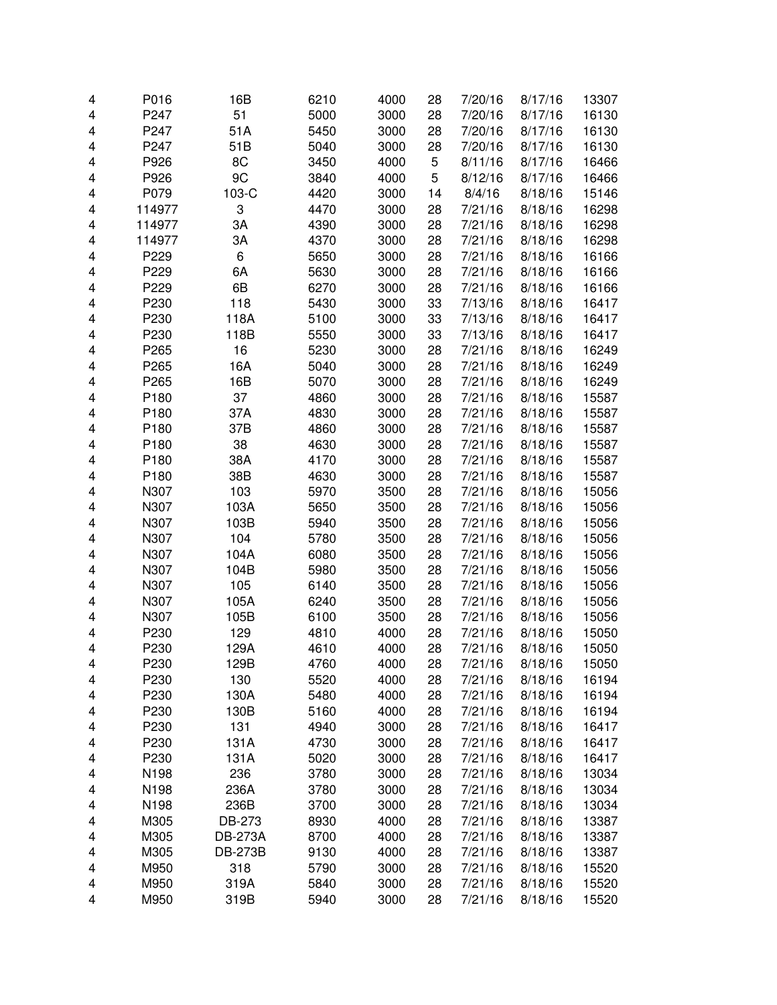| 4 | P016             | 16B            | 6210 | 4000 | 28 | 7/20/16 | 8/17/16 | 13307 |
|---|------------------|----------------|------|------|----|---------|---------|-------|
| 4 | P247             | 51             | 5000 | 3000 | 28 | 7/20/16 | 8/17/16 | 16130 |
| 4 | P247             | 51A            | 5450 | 3000 | 28 | 7/20/16 | 8/17/16 | 16130 |
| 4 | P247             | 51B            | 5040 | 3000 | 28 | 7/20/16 | 8/17/16 | 16130 |
| 4 | P926             | 8C             | 3450 | 4000 | 5  | 8/11/16 | 8/17/16 | 16466 |
| 4 | P926             | 9C             | 3840 | 4000 | 5  | 8/12/16 | 8/17/16 | 16466 |
| 4 | P079             | 103-C          | 4420 | 3000 | 14 | 8/4/16  | 8/18/16 | 15146 |
| 4 | 114977           | 3              | 4470 | 3000 | 28 | 7/21/16 | 8/18/16 | 16298 |
| 4 | 114977           | ЗA             | 4390 | 3000 | 28 | 7/21/16 | 8/18/16 | 16298 |
| 4 | 114977           | ЗA             | 4370 | 3000 | 28 | 7/21/16 | 8/18/16 | 16298 |
| 4 | P229             | 6              | 5650 | 3000 | 28 | 7/21/16 | 8/18/16 | 16166 |
| 4 | P229             | 6A             | 5630 | 3000 | 28 | 7/21/16 | 8/18/16 | 16166 |
| 4 | P229             | 6B             | 6270 | 3000 | 28 | 7/21/16 | 8/18/16 | 16166 |
| 4 | P230             | 118            | 5430 | 3000 | 33 | 7/13/16 | 8/18/16 | 16417 |
| 4 | P230             | 118A           | 5100 | 3000 | 33 | 7/13/16 | 8/18/16 | 16417 |
| 4 | P230             | 118B           | 5550 | 3000 | 33 | 7/13/16 | 8/18/16 | 16417 |
| 4 | P265             | 16             | 5230 | 3000 | 28 | 7/21/16 | 8/18/16 | 16249 |
| 4 | P265             | 16A            | 5040 | 3000 | 28 | 7/21/16 | 8/18/16 | 16249 |
| 4 | P265             | 16B            | 5070 | 3000 | 28 | 7/21/16 | 8/18/16 | 16249 |
| 4 | P180             | 37             | 4860 | 3000 | 28 | 7/21/16 | 8/18/16 | 15587 |
| 4 | P180             | 37A            | 4830 | 3000 | 28 | 7/21/16 | 8/18/16 | 15587 |
| 4 | P180             | 37B            | 4860 | 3000 | 28 | 7/21/16 | 8/18/16 | 15587 |
| 4 | P180             | 38             | 4630 | 3000 | 28 | 7/21/16 | 8/18/16 | 15587 |
| 4 | P180             | 38A            | 4170 | 3000 | 28 | 7/21/16 | 8/18/16 | 15587 |
| 4 | P180             | 38B            | 4630 | 3000 | 28 | 7/21/16 | 8/18/16 | 15587 |
| 4 | N307             | 103            | 5970 | 3500 | 28 | 7/21/16 | 8/18/16 | 15056 |
| 4 | N307             | 103A           | 5650 | 3500 | 28 | 7/21/16 | 8/18/16 | 15056 |
| 4 | N307             | 103B           | 5940 | 3500 | 28 | 7/21/16 | 8/18/16 | 15056 |
| 4 | N307             | 104            | 5780 | 3500 | 28 | 7/21/16 | 8/18/16 | 15056 |
| 4 | N307             | 104A           | 6080 | 3500 | 28 | 7/21/16 | 8/18/16 | 15056 |
| 4 | N307             | 104B           | 5980 | 3500 | 28 | 7/21/16 | 8/18/16 | 15056 |
| 4 | N307             | 105            | 6140 | 3500 | 28 | 7/21/16 | 8/18/16 | 15056 |
| 4 | N307             | 105A           | 6240 | 3500 | 28 | 7/21/16 | 8/18/16 | 15056 |
| 4 | N307             | 105B           | 6100 | 3500 | 28 | 7/21/16 | 8/18/16 | 15056 |
| 4 | P230             | 129            | 4810 | 4000 | 28 | 7/21/16 | 8/18/16 | 15050 |
| 4 | P230             | 129A           | 4610 | 4000 | 28 | 7/21/16 | 8/18/16 | 15050 |
| 4 | P <sub>230</sub> | 129B           | 4760 | 4000 | 28 | 7/21/16 | 8/18/16 | 15050 |
| 4 | P230             | 130            | 5520 | 4000 | 28 | 7/21/16 | 8/18/16 | 16194 |
| 4 | P230             | 130A           | 5480 | 4000 | 28 | 7/21/16 | 8/18/16 | 16194 |
| 4 | P230             | 130B           | 5160 | 4000 | 28 | 7/21/16 | 8/18/16 | 16194 |
| 4 | P230             | 131            | 4940 | 3000 | 28 | 7/21/16 | 8/18/16 | 16417 |
| 4 | P230             | 131A           | 4730 | 3000 | 28 | 7/21/16 | 8/18/16 | 16417 |
| 4 | P230             | 131A           | 5020 | 3000 | 28 | 7/21/16 | 8/18/16 | 16417 |
| 4 | N198             | 236            | 3780 | 3000 | 28 | 7/21/16 | 8/18/16 | 13034 |
| 4 | N198             | 236A           | 3780 | 3000 | 28 | 7/21/16 | 8/18/16 | 13034 |
| 4 | N198             | 236B           | 3700 | 3000 | 28 | 7/21/16 | 8/18/16 | 13034 |
| 4 | M305             | DB-273         | 8930 | 4000 | 28 | 7/21/16 | 8/18/16 | 13387 |
| 4 | M305             | <b>DB-273A</b> | 8700 | 4000 | 28 | 7/21/16 | 8/18/16 | 13387 |
| 4 | M305             | <b>DB-273B</b> | 9130 | 4000 | 28 | 7/21/16 | 8/18/16 | 13387 |
| 4 | M950             | 318            | 5790 | 3000 | 28 | 7/21/16 | 8/18/16 | 15520 |
| 4 | M950             | 319A           | 5840 | 3000 | 28 | 7/21/16 | 8/18/16 | 15520 |
| 4 | M950             | 319B           | 5940 | 3000 | 28 | 7/21/16 | 8/18/16 | 15520 |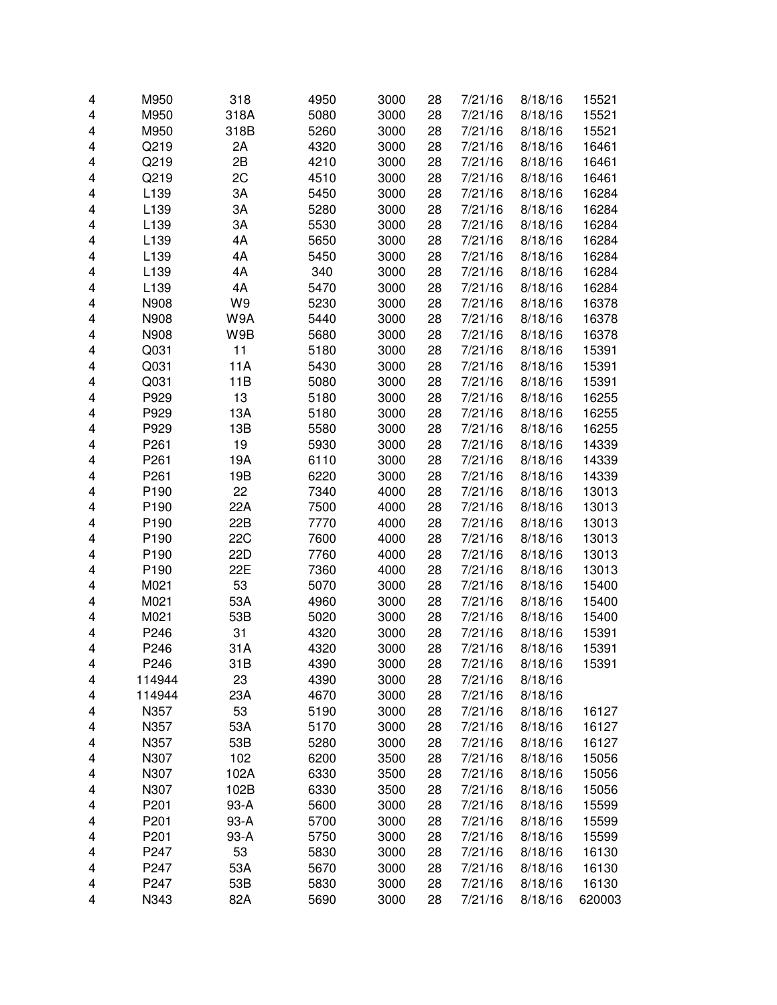| 4 | M950             | 318        | 4950 | 3000 | 28 | 7/21/16 | 8/18/16 | 15521  |
|---|------------------|------------|------|------|----|---------|---------|--------|
| 4 | M950             | 318A       | 5080 | 3000 | 28 | 7/21/16 | 8/18/16 | 15521  |
| 4 | M950             | 318B       | 5260 | 3000 | 28 | 7/21/16 | 8/18/16 | 15521  |
| 4 | Q219             | 2A         | 4320 | 3000 | 28 | 7/21/16 | 8/18/16 | 16461  |
| 4 | Q219             | 2B         | 4210 | 3000 | 28 | 7/21/16 | 8/18/16 | 16461  |
|   | Q219             | 2C         |      |      |    |         |         |        |
| 4 |                  |            | 4510 | 3000 | 28 | 7/21/16 | 8/18/16 | 16461  |
| 4 | L139             | ЗA         | 5450 | 3000 | 28 | 7/21/16 | 8/18/16 | 16284  |
| 4 | L139             | 3A         | 5280 | 3000 | 28 | 7/21/16 | 8/18/16 | 16284  |
| 4 | L139             | 3A         | 5530 | 3000 | 28 | 7/21/16 | 8/18/16 | 16284  |
| 4 | L139             | 4A         | 5650 | 3000 | 28 | 7/21/16 | 8/18/16 | 16284  |
| 4 | L139             | 4A         | 5450 | 3000 | 28 | 7/21/16 | 8/18/16 | 16284  |
| 4 | L139             | 4A         | 340  | 3000 | 28 | 7/21/16 | 8/18/16 | 16284  |
| 4 | L139             | 4A         | 5470 | 3000 | 28 | 7/21/16 | 8/18/16 | 16284  |
| 4 | N908             | W9         | 5230 | 3000 | 28 | 7/21/16 | 8/18/16 | 16378  |
| 4 | N908             | W9A        | 5440 | 3000 | 28 | 7/21/16 | 8/18/16 | 16378  |
| 4 | N908             | W9B        | 5680 | 3000 | 28 | 7/21/16 | 8/18/16 | 16378  |
| 4 | Q031             | 11         | 5180 | 3000 | 28 | 7/21/16 | 8/18/16 | 15391  |
| 4 | Q031             | 11A        | 5430 | 3000 | 28 | 7/21/16 | 8/18/16 | 15391  |
| 4 | Q031             | 11B        | 5080 | 3000 | 28 | 7/21/16 | 8/18/16 | 15391  |
| 4 | P929             | 13         | 5180 | 3000 | 28 | 7/21/16 | 8/18/16 | 16255  |
| 4 | P929             | 13A        | 5180 | 3000 | 28 | 7/21/16 | 8/18/16 | 16255  |
| 4 | P929             | 13B        | 5580 | 3000 | 28 | 7/21/16 | 8/18/16 | 16255  |
| 4 | P261             | 19         | 5930 | 3000 | 28 | 7/21/16 | 8/18/16 | 14339  |
| 4 | P261             | 19A        | 6110 | 3000 | 28 | 7/21/16 | 8/18/16 | 14339  |
| 4 | P <sub>261</sub> | 19B        | 6220 | 3000 | 28 | 7/21/16 | 8/18/16 | 14339  |
| 4 | P190             | 22         | 7340 | 4000 | 28 | 7/21/16 | 8/18/16 | 13013  |
| 4 | P190             | 22A        | 7500 | 4000 | 28 | 7/21/16 | 8/18/16 | 13013  |
| 4 | P190             | 22B        | 7770 | 4000 | 28 | 7/21/16 | 8/18/16 | 13013  |
| 4 | P190             | <b>22C</b> | 7600 | 4000 | 28 | 7/21/16 | 8/18/16 | 13013  |
| 4 | P190             | 22D        | 7760 | 4000 | 28 | 7/21/16 | 8/18/16 | 13013  |
| 4 | P190             | 22E        | 7360 | 4000 | 28 | 7/21/16 | 8/18/16 | 13013  |
| 4 | M021             | 53         | 5070 | 3000 | 28 | 7/21/16 | 8/18/16 | 15400  |
| 4 | M021             | 53A        | 4960 | 3000 | 28 | 7/21/16 | 8/18/16 | 15400  |
| 4 | M021             | 53B        | 5020 | 3000 | 28 | 7/21/16 | 8/18/16 | 15400  |
| 4 | P246             | 31         | 4320 | 3000 | 28 | 7/21/16 | 8/18/16 | 15391  |
| 4 | P246             | 31A        | 4320 | 3000 | 28 | 7/21/16 | 8/18/16 | 15391  |
| 4 | P246             | 31 B       | 4390 | 3000 | 28 | 7/21/16 | 8/18/16 | 15391  |
| 4 | 114944           | 23         | 4390 | 3000 | 28 | 7/21/16 | 8/18/16 |        |
| 4 | 114944           | 23A        | 4670 | 3000 | 28 | 7/21/16 | 8/18/16 |        |
| 4 | N357             | 53         | 5190 | 3000 | 28 | 7/21/16 | 8/18/16 | 16127  |
| 4 | N357             | 53A        | 5170 | 3000 | 28 | 7/21/16 | 8/18/16 | 16127  |
| 4 | N357             | 53B        | 5280 | 3000 | 28 | 7/21/16 | 8/18/16 | 16127  |
| 4 | N307             | 102        | 6200 | 3500 | 28 | 7/21/16 | 8/18/16 | 15056  |
| 4 | N307             | 102A       | 6330 | 3500 | 28 | 7/21/16 | 8/18/16 | 15056  |
| 4 | N307             | 102B       | 6330 | 3500 | 28 | 7/21/16 | 8/18/16 | 15056  |
|   | P201             | 93-A       | 5600 |      |    | 7/21/16 |         |        |
| 4 |                  |            |      | 3000 | 28 |         | 8/18/16 | 15599  |
| 4 | P201             | 93-A       | 5700 | 3000 | 28 | 7/21/16 | 8/18/16 | 15599  |
| 4 | P201             | 93-A       | 5750 | 3000 | 28 | 7/21/16 | 8/18/16 | 15599  |
| 4 | P247             | 53         | 5830 | 3000 | 28 | 7/21/16 | 8/18/16 | 16130  |
| 4 | P247             | 53A        | 5670 | 3000 | 28 | 7/21/16 | 8/18/16 | 16130  |
| 4 | P247             | 53B        | 5830 | 3000 | 28 | 7/21/16 | 8/18/16 | 16130  |
| 4 | N343             | 82A        | 5690 | 3000 | 28 | 7/21/16 | 8/18/16 | 620003 |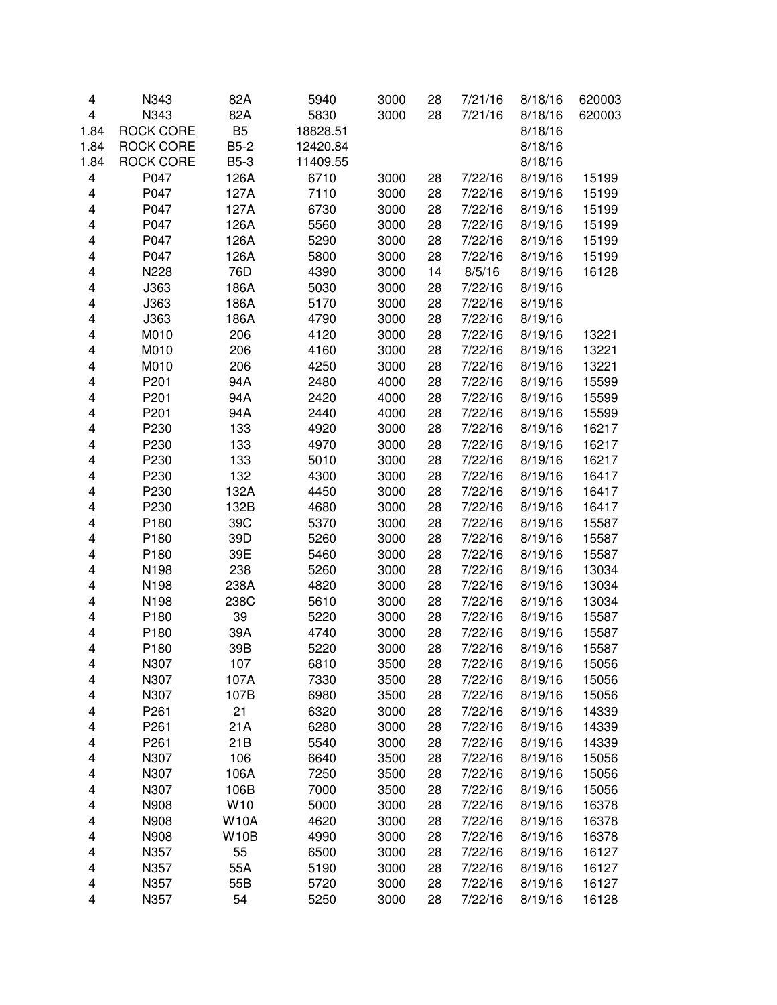| 4    | N343             | 82A            | 5940         | 3000 | 28       | 7/21/16 | 8/18/16 | 620003 |
|------|------------------|----------------|--------------|------|----------|---------|---------|--------|
| 4    | N343             | 82A            | 5830         | 3000 | 28       | 7/21/16 | 8/18/16 | 620003 |
| 1.84 | <b>ROCK CORE</b> | B <sub>5</sub> | 18828.51     |      |          |         | 8/18/16 |        |
| 1.84 | <b>ROCK CORE</b> | <b>B5-2</b>    | 12420.84     |      |          |         | 8/18/16 |        |
| 1.84 | <b>ROCK CORE</b> | <b>B5-3</b>    | 11409.55     |      |          |         | 8/18/16 |        |
| 4    | P047             | 126A           | 6710         | 3000 | 28       | 7/22/16 | 8/19/16 | 15199  |
| 4    | P047             | 127A           | 7110         | 3000 | 28       | 7/22/16 | 8/19/16 | 15199  |
| 4    | P047             | 127A           | 6730         | 3000 | 28       | 7/22/16 | 8/19/16 | 15199  |
| 4    | P047             | 126A           | 5560         | 3000 | 28       | 7/22/16 | 8/19/16 | 15199  |
| 4    | P047             | 126A           | 5290         | 3000 | 28       | 7/22/16 | 8/19/16 | 15199  |
| 4    | P047             | 126A           | 5800         | 3000 | 28       | 7/22/16 | 8/19/16 | 15199  |
| 4    | N228             | 76D            | 4390         | 3000 | 14       | 8/5/16  | 8/19/16 | 16128  |
| 4    | J363             | 186A           | 5030         | 3000 | 28       | 7/22/16 | 8/19/16 |        |
| 4    | J363             | 186A           | 5170         | 3000 | 28       | 7/22/16 | 8/19/16 |        |
| 4    | J363             | 186A           | 4790         | 3000 | 28       | 7/22/16 | 8/19/16 |        |
| 4    | M010             | 206            | 4120         | 3000 | 28       | 7/22/16 | 8/19/16 | 13221  |
| 4    | M010             | 206            | 4160         | 3000 | 28       | 7/22/16 | 8/19/16 | 13221  |
| 4    | M010             | 206            | 4250         | 3000 | 28       | 7/22/16 | 8/19/16 | 13221  |
| 4    | P201             | 94A            | 2480         | 4000 | 28       | 7/22/16 | 8/19/16 | 15599  |
| 4    | P201             | 94A            | 2420         | 4000 | 28       | 7/22/16 | 8/19/16 | 15599  |
| 4    | P201             | 94A            | 2440         | 4000 | 28       | 7/22/16 | 8/19/16 | 15599  |
| 4    | P230             | 133            | 4920         | 3000 | 28       | 7/22/16 | 8/19/16 | 16217  |
| 4    | P230             | 133            | 4970         | 3000 | 28       | 7/22/16 | 8/19/16 | 16217  |
| 4    | P230             | 133            | 5010         | 3000 | 28       | 7/22/16 | 8/19/16 | 16217  |
| 4    | P230             | 132            | 4300         | 3000 | 28       | 7/22/16 | 8/19/16 | 16417  |
| 4    | P230             | 132A           | 4450         | 3000 | 28       | 7/22/16 | 8/19/16 | 16417  |
| 4    | P230             | 132B           | 4680         | 3000 | 28       | 7/22/16 | 8/19/16 | 16417  |
| 4    | P180             | 39C            | 5370         | 3000 | 28       | 7/22/16 | 8/19/16 | 15587  |
| 4    | P180             | 39D            | 5260         | 3000 | 28       | 7/22/16 | 8/19/16 | 15587  |
| 4    | P180             | 39E            | 5460         | 3000 | 28       | 7/22/16 | 8/19/16 | 15587  |
| 4    | N198             | 238            | 5260         | 3000 | 28       | 7/22/16 | 8/19/16 | 13034  |
| 4    | N198             | 238A           | 4820         |      |          | 7/22/16 | 8/19/16 | 13034  |
| 4    | N198             | 238C           |              | 3000 | 28<br>28 | 7/22/16 | 8/19/16 | 13034  |
|      |                  | 39             | 5610<br>5220 | 3000 |          |         |         |        |
| 4    | P180             |                |              | 3000 | 28       | 7/22/16 | 8/19/16 | 15587  |
| 4    | P180             | 39A            | 4740         | 3000 | 28       | 7/22/16 | 8/19/16 | 15587  |
| 4    | P180             | 39B            | 5220         | 3000 | 28       | 7/22/16 | 8/19/16 | 15587  |
| 4    | N307             | 107            | 6810         | 3500 | 28       | 7/22/16 | 8/19/16 | 15056  |
| 4    | N307             | 107A           | 7330         | 3500 | 28       | 7/22/16 | 8/19/16 | 15056  |
| 4    | N307             | 107B           | 6980         | 3500 | 28       | 7/22/16 | 8/19/16 | 15056  |
| 4    | P <sub>261</sub> | 21             | 6320         | 3000 | 28       | 7/22/16 | 8/19/16 | 14339  |
| 4    | P <sub>261</sub> | 21A            | 6280         | 3000 | 28       | 7/22/16 | 8/19/16 | 14339  |
| 4    | P261             | 21B            | 5540         | 3000 | 28       | 7/22/16 | 8/19/16 | 14339  |
| 4    | N307             | 106            | 6640         | 3500 | 28       | 7/22/16 | 8/19/16 | 15056  |
| 4    | N307             | 106A           | 7250         | 3500 | 28       | 7/22/16 | 8/19/16 | 15056  |
| 4    | N307             | 106B           | 7000         | 3500 | 28       | 7/22/16 | 8/19/16 | 15056  |
| 4    | N908             | W10            | 5000         | 3000 | 28       | 7/22/16 | 8/19/16 | 16378  |
| 4    | N908             | <b>W10A</b>    | 4620         | 3000 | 28       | 7/22/16 | 8/19/16 | 16378  |
| 4    | N908             | <b>W10B</b>    | 4990         | 3000 | 28       | 7/22/16 | 8/19/16 | 16378  |
| 4    | N357             | 55             | 6500         | 3000 | 28       | 7/22/16 | 8/19/16 | 16127  |
| 4    | N357             | 55A            | 5190         | 3000 | 28       | 7/22/16 | 8/19/16 | 16127  |
| 4    | N357             | 55B            | 5720         | 3000 | 28       | 7/22/16 | 8/19/16 | 16127  |
| 4    | N357             | 54             | 5250         | 3000 | 28       | 7/22/16 | 8/19/16 | 16128  |